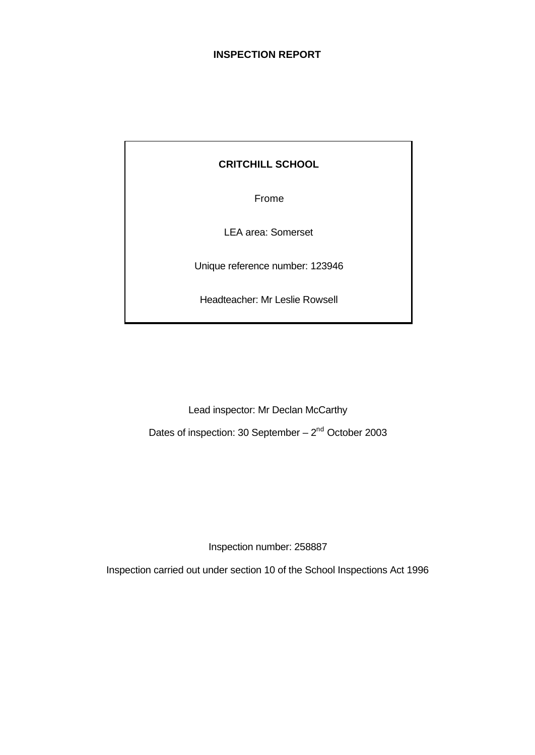## **INSPECTION REPORT**

# **CRITCHILL SCHOOL**

Frome

LEA area: Somerset

Unique reference number: 123946

Headteacher: Mr Leslie Rowsell

Lead inspector: Mr Declan McCarthy

Dates of inspection: 30 September  $-2<sup>nd</sup>$  October 2003

Inspection number: 258887

Inspection carried out under section 10 of the School Inspections Act 1996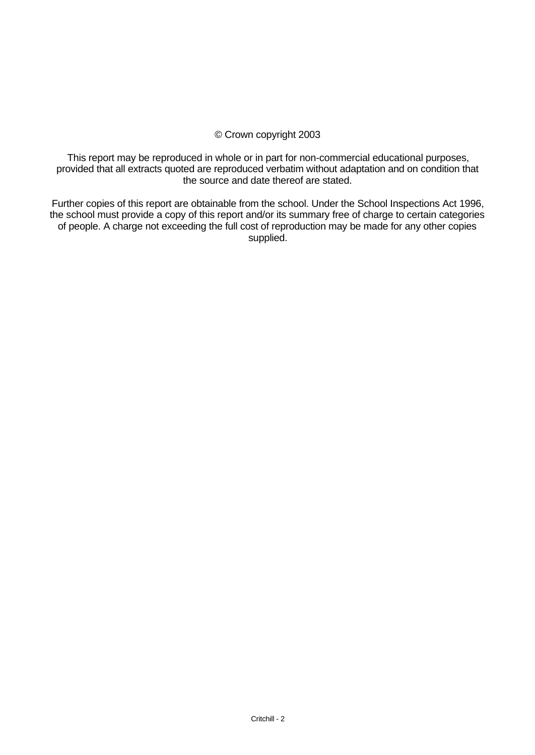## © Crown copyright 2003

This report may be reproduced in whole or in part for non-commercial educational purposes, provided that all extracts quoted are reproduced verbatim without adaptation and on condition that the source and date thereof are stated.

Further copies of this report are obtainable from the school. Under the School Inspections Act 1996, the school must provide a copy of this report and/or its summary free of charge to certain categories of people. A charge not exceeding the full cost of reproduction may be made for any other copies supplied.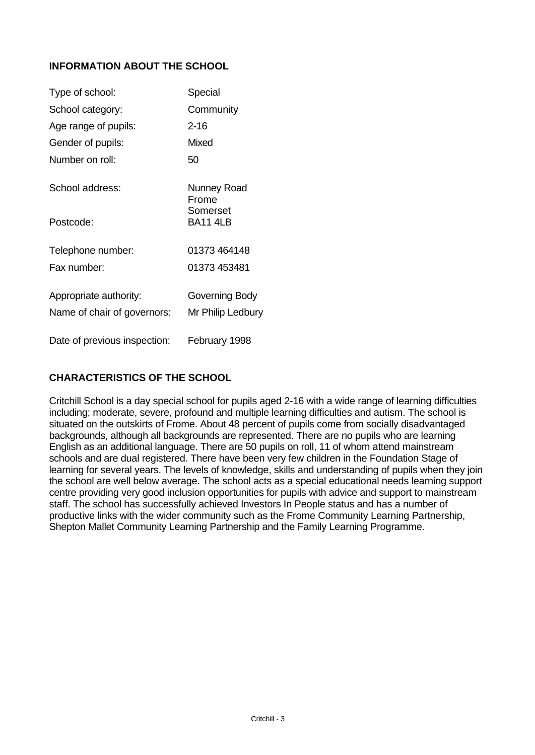# **INFORMATION ABOUT THE SCHOOL**

| Type of school:              | Special              |
|------------------------------|----------------------|
| School category:             | Community            |
| Age range of pupils:         | $2 - 16$             |
| Gender of pupils:            | Mixed                |
| Number on roll:              | 50                   |
| School address:              | Nunney Road<br>Frome |
| Postcode:                    | Somerset<br>BA11 4LB |
| Telephone number:            | 01373 464148         |
| Fax number:                  | 01373 453481         |
| Appropriate authority:       | Governing Body       |
| Name of chair of governors:  | Mr Philip Ledbury    |
| Date of previous inspection: | February 1998        |

# **CHARACTERISTICS OF THE SCHOOL**

Critchill School is a day special school for pupils aged 2-16 with a wide range of learning difficulties including; moderate, severe, profound and multiple learning difficulties and autism. The school is situated on the outskirts of Frome. About 48 percent of pupils come from socially disadvantaged backgrounds, although all backgrounds are represented. There are no pupils who are learning English as an additional language. There are 50 pupils on roll, 11 of whom attend mainstream schools and are dual registered. There have been very few children in the Foundation Stage of learning for several years. The levels of knowledge, skills and understanding of pupils when they join the school are well below average. The school acts as a special educational needs learning support centre providing very good inclusion opportunities for pupils with advice and support to mainstream staff. The school has successfully achieved Investors In People status and has a number of productive links with the wider community such as the Frome Community Learning Partnership, Shepton Mallet Community Learning Partnership and the Family Learning Programme.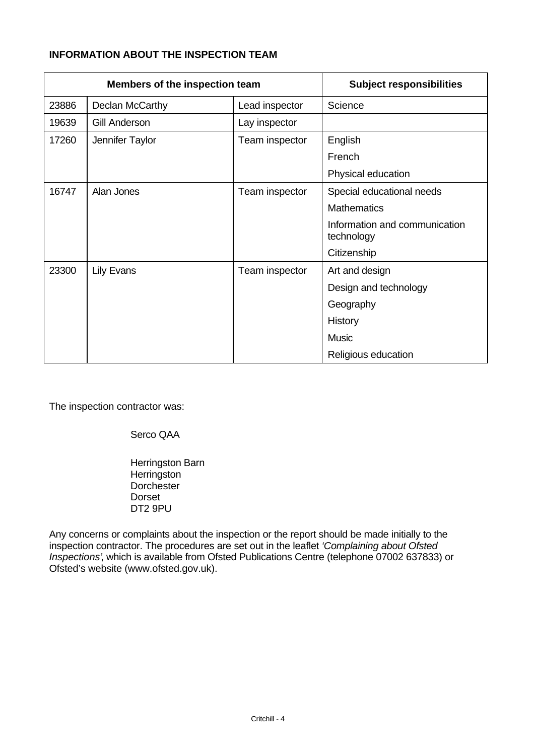# **INFORMATION ABOUT THE INSPECTION TEAM**

| Members of the inspection team |                      | <b>Subject responsibilities</b> |                                             |
|--------------------------------|----------------------|---------------------------------|---------------------------------------------|
| 23886                          | Declan McCarthy      | Lead inspector                  | Science                                     |
| 19639                          | <b>Gill Anderson</b> | Lay inspector                   |                                             |
| 17260                          | Jennifer Taylor      | Team inspector                  | English                                     |
|                                |                      |                                 | French                                      |
|                                |                      |                                 | Physical education                          |
| 16747                          | Alan Jones           | Team inspector                  | Special educational needs                   |
|                                |                      |                                 | <b>Mathematics</b>                          |
|                                |                      |                                 | Information and communication<br>technology |
|                                |                      |                                 | Citizenship                                 |
| 23300                          | <b>Lily Evans</b>    | Team inspector                  | Art and design                              |
|                                |                      |                                 | Design and technology                       |
|                                |                      |                                 | Geography                                   |
|                                |                      |                                 | History                                     |
|                                |                      |                                 | <b>Music</b>                                |
|                                |                      |                                 | Religious education                         |

The inspection contractor was:

Serco QAA

Herringston Barn **Herringston Dorchester** Dorset DT2 9PU

Any concerns or complaints about the inspection or the report should be made initially to the inspection contractor. The procedures are set out in the leaflet *'Complaining about Ofsted Inspections'*, which is available from Ofsted Publications Centre (telephone 07002 637833) or Ofsted's website (www.ofsted.gov.uk).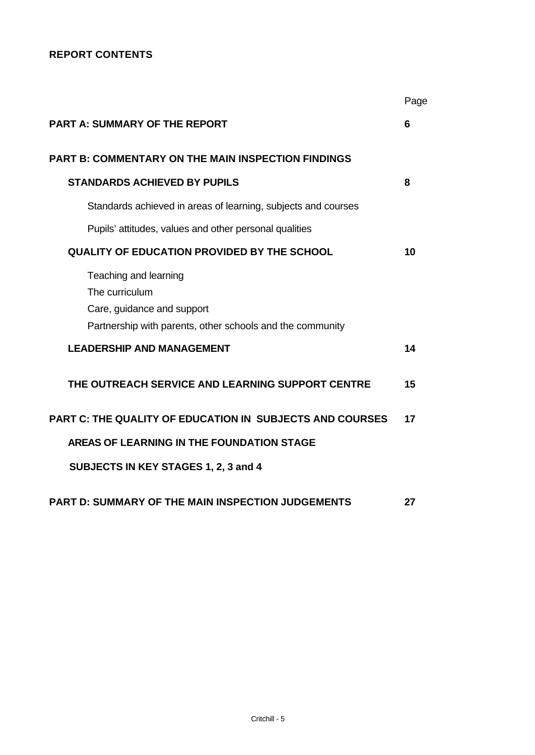# **REPORT CONTENTS**

|                                                                                                                                    | Page |
|------------------------------------------------------------------------------------------------------------------------------------|------|
| <b>PART A: SUMMARY OF THE REPORT</b>                                                                                               | 6    |
| <b>PART B: COMMENTARY ON THE MAIN INSPECTION FINDINGS</b>                                                                          |      |
| <b>STANDARDS ACHIEVED BY PUPILS</b>                                                                                                | 8    |
| Standards achieved in areas of learning, subjects and courses                                                                      |      |
| Pupils' attitudes, values and other personal qualities                                                                             |      |
| <b>QUALITY OF EDUCATION PROVIDED BY THE SCHOOL</b>                                                                                 | 10   |
| Teaching and learning<br>The curriculum<br>Care, guidance and support<br>Partnership with parents, other schools and the community |      |
| <b>LEADERSHIP AND MANAGEMENT</b>                                                                                                   | 14   |
| THE OUTREACH SERVICE AND LEARNING SUPPORT CENTRE                                                                                   | 15   |
| <b>PART C: THE QUALITY OF EDUCATION IN SUBJECTS AND COURSES</b>                                                                    | 17   |
| AREAS OF LEARNING IN THE FOUNDATION STAGE                                                                                          |      |
| SUBJECTS IN KEY STAGES 1, 2, 3 and 4                                                                                               |      |
| <b>PART D: SUMMARY OF THE MAIN INSPECTION JUDGEMENTS</b>                                                                           | 27   |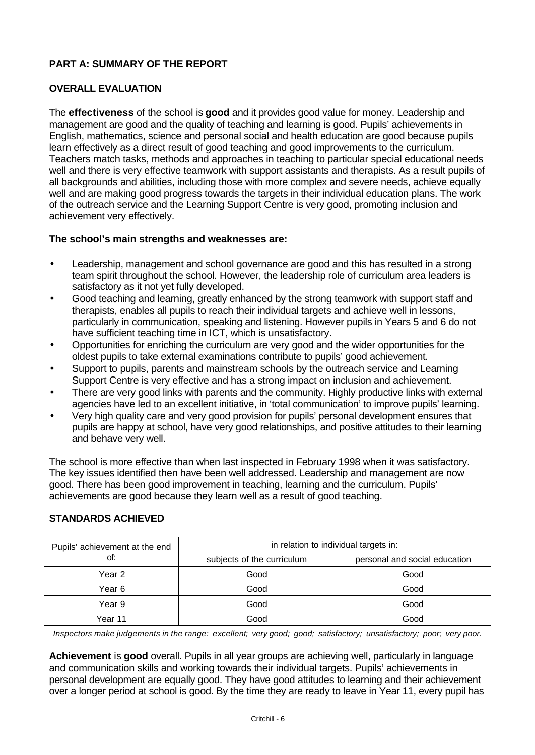## **PART A: SUMMARY OF THE REPORT**

## **OVERALL EVALUATION**

The **effectiveness** of the school is **good** and it provides good value for money. Leadership and management are good and the quality of teaching and learning is good. Pupils' achievements in English, mathematics, science and personal social and health education are good because pupils learn effectively as a direct result of good teaching and good improvements to the curriculum. Teachers match tasks, methods and approaches in teaching to particular special educational needs well and there is very effective teamwork with support assistants and therapists. As a result pupils of all backgrounds and abilities, including those with more complex and severe needs, achieve equally well and are making good progress towards the targets in their individual education plans. The work of the outreach service and the Learning Support Centre is very good, promoting inclusion and achievement very effectively.

## **The school's main strengths and weaknesses are:**

- Leadership, management and school governance are good and this has resulted in a strong team spirit throughout the school. However, the leadership role of curriculum area leaders is satisfactory as it not yet fully developed.
- Good teaching and learning, greatly enhanced by the strong teamwork with support staff and therapists, enables all pupils to reach their individual targets and achieve well in lessons, particularly in communication, speaking and listening. However pupils in Years 5 and 6 do not have sufficient teaching time in ICT, which is unsatisfactory.
- Opportunities for enriching the curriculum are very good and the wider opportunities for the oldest pupils to take external examinations contribute to pupils' good achievement.
- Support to pupils, parents and mainstream schools by the outreach service and Learning Support Centre is very effective and has a strong impact on inclusion and achievement.
- There are very good links with parents and the community. Highly productive links with external agencies have led to an excellent initiative, in 'total communication' to improve pupils' learning.
- Very high quality care and very good provision for pupils' personal development ensures that pupils are happy at school, have very good relationships, and positive attitudes to their learning and behave very well.

The school is more effective than when last inspected in February 1998 when it was satisfactory. The key issues identified then have been well addressed. Leadership and management are now good. There has been good improvement in teaching, learning and the curriculum. Pupils' achievements are good because they learn well as a result of good teaching.

## **STANDARDS ACHIEVED**

| Pupils' achievement at the end | in relation to individual targets in: |                               |  |  |
|--------------------------------|---------------------------------------|-------------------------------|--|--|
| of:                            | subjects of the curriculum            | personal and social education |  |  |
| Year 2                         | Good                                  | Good                          |  |  |
| Year 6                         | Good                                  | Good                          |  |  |
| Year 9                         | Good                                  | Good                          |  |  |
| Year 11                        | Good                                  | Good                          |  |  |

*Inspectors make judgements in the range: excellent; very good; good; satisfactory; unsatisfactory; poor; very poor.*

**Achievement** is **good** overall. Pupils in all year groups are achieving well, particularly in language and communication skills and working towards their individual targets. Pupils' achievements in personal development are equally good. They have good attitudes to learning and their achievement over a longer period at school is good. By the time they are ready to leave in Year 11, every pupil has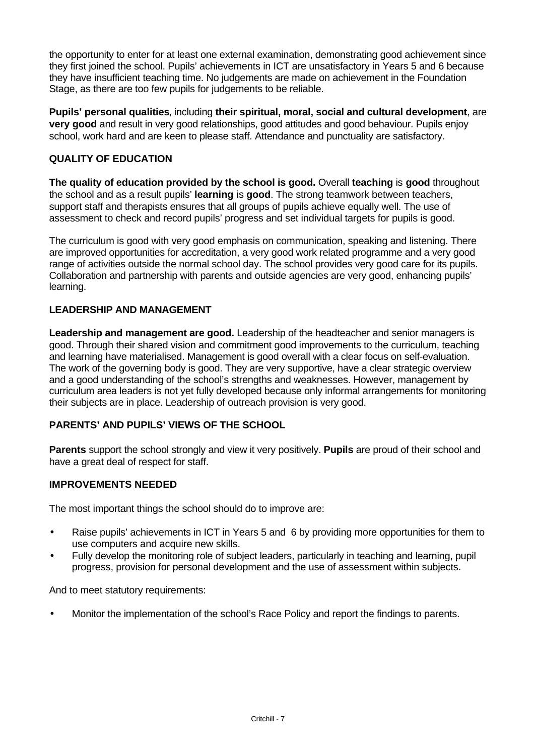the opportunity to enter for at least one external examination, demonstrating good achievement since they first joined the school. Pupils' achievements in ICT are unsatisfactory in Years 5 and 6 because they have insufficient teaching time. No judgements are made on achievement in the Foundation Stage, as there are too few pupils for judgements to be reliable.

**Pupils' personal qualities**, including **their spiritual, moral, social and cultural development**, are **very good** and result in very good relationships, good attitudes and good behaviour. Pupils enjoy school, work hard and are keen to please staff. Attendance and punctuality are satisfactory.

# **QUALITY OF EDUCATION**

**The quality of education provided by the school is good.** Overall **teaching** is **good** throughout the school and as a result pupils' **learning** is **good**. The strong teamwork between teachers, support staff and therapists ensures that all groups of pupils achieve equally well. The use of assessment to check and record pupils' progress and set individual targets for pupils is good.

The curriculum is good with very good emphasis on communication, speaking and listening. There are improved opportunities for accreditation, a very good work related programme and a very good range of activities outside the normal school day. The school provides very good care for its pupils. Collaboration and partnership with parents and outside agencies are very good, enhancing pupils' learning.

# **LEADERSHIP AND MANAGEMENT**

**Leadership and management are good.** Leadership of the headteacher and senior managers is good. Through their shared vision and commitment good improvements to the curriculum, teaching and learning have materialised. Management is good overall with a clear focus on self-evaluation. The work of the governing body is good. They are very supportive, have a clear strategic overview and a good understanding of the school's strengths and weaknesses. However, management by curriculum area leaders is not yet fully developed because only informal arrangements for monitoring their subjects are in place. Leadership of outreach provision is very good.

# **PARENTS' AND PUPILS' VIEWS OF THE SCHOOL**

**Parents** support the school strongly and view it very positively. **Pupils** are proud of their school and have a great deal of respect for staff.

# **IMPROVEMENTS NEEDED**

The most important things the school should do to improve are:

- Raise pupils' achievements in ICT in Years 5 and 6 by providing more opportunities for them to use computers and acquire new skills.
- Fully develop the monitoring role of subject leaders, particularly in teaching and learning, pupil progress, provision for personal development and the use of assessment within subjects.

And to meet statutory requirements:

• Monitor the implementation of the school's Race Policy and report the findings to parents.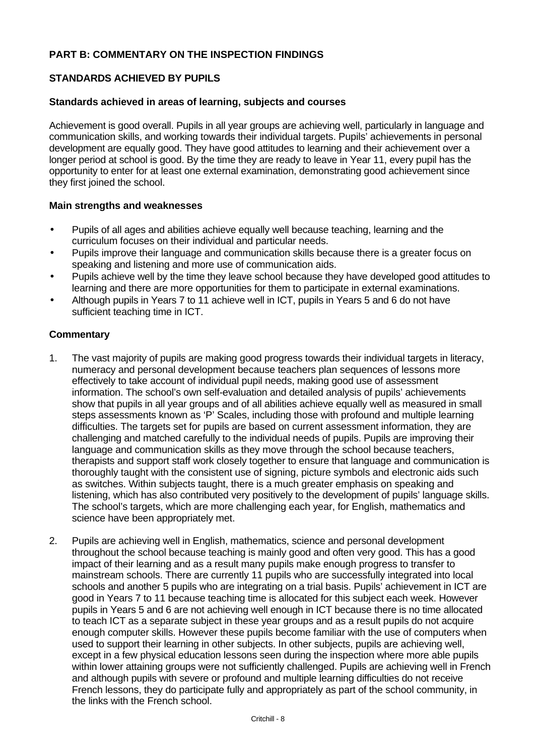## **PART B: COMMENTARY ON THE INSPECTION FINDINGS**

## **STANDARDS ACHIEVED BY PUPILS**

#### **Standards achieved in areas of learning, subjects and courses**

Achievement is good overall. Pupils in all year groups are achieving well, particularly in language and communication skills, and working towards their individual targets. Pupils' achievements in personal development are equally good. They have good attitudes to learning and their achievement over a longer period at school is good. By the time they are ready to leave in Year 11, every pupil has the opportunity to enter for at least one external examination, demonstrating good achievement since they first joined the school.

#### **Main strengths and weaknesses**

- Pupils of all ages and abilities achieve equally well because teaching, learning and the curriculum focuses on their individual and particular needs.
- Pupils improve their language and communication skills because there is a greater focus on speaking and listening and more use of communication aids.
- Pupils achieve well by the time they leave school because they have developed good attitudes to learning and there are more opportunities for them to participate in external examinations.
- Although pupils in Years 7 to 11 achieve well in ICT, pupils in Years 5 and 6 do not have sufficient teaching time in ICT.

- 1. The vast majority of pupils are making good progress towards their individual targets in literacy, numeracy and personal development because teachers plan sequences of lessons more effectively to take account of individual pupil needs, making good use of assessment information. The school's own self-evaluation and detailed analysis of pupils' achievements show that pupils in all year groups and of all abilities achieve equally well as measured in small steps assessments known as 'P' Scales, including those with profound and multiple learning difficulties. The targets set for pupils are based on current assessment information, they are challenging and matched carefully to the individual needs of pupils. Pupils are improving their language and communication skills as they move through the school because teachers, therapists and support staff work closely together to ensure that language and communication is thoroughly taught with the consistent use of signing, picture symbols and electronic aids such as switches. Within subjects taught, there is a much greater emphasis on speaking and listening, which has also contributed very positively to the development of pupils' language skills. The school's targets, which are more challenging each year, for English, mathematics and science have been appropriately met.
- 2. Pupils are achieving well in English, mathematics, science and personal development throughout the school because teaching is mainly good and often very good. This has a good impact of their learning and as a result many pupils make enough progress to transfer to mainstream schools. There are currently 11 pupils who are successfully integrated into local schools and another 5 pupils who are integrating on a trial basis. Pupils' achievement in ICT are good in Years 7 to 11 because teaching time is allocated for this subject each week. However pupils in Years 5 and 6 are not achieving well enough in ICT because there is no time allocated to teach ICT as a separate subject in these year groups and as a result pupils do not acquire enough computer skills. However these pupils become familiar with the use of computers when used to support their learning in other subjects. In other subjects, pupils are achieving well, except in a few physical education lessons seen during the inspection where more able pupils within lower attaining groups were not sufficiently challenged. Pupils are achieving well in French and although pupils with severe or profound and multiple learning difficulties do not receive French lessons, they do participate fully and appropriately as part of the school community, in the links with the French school.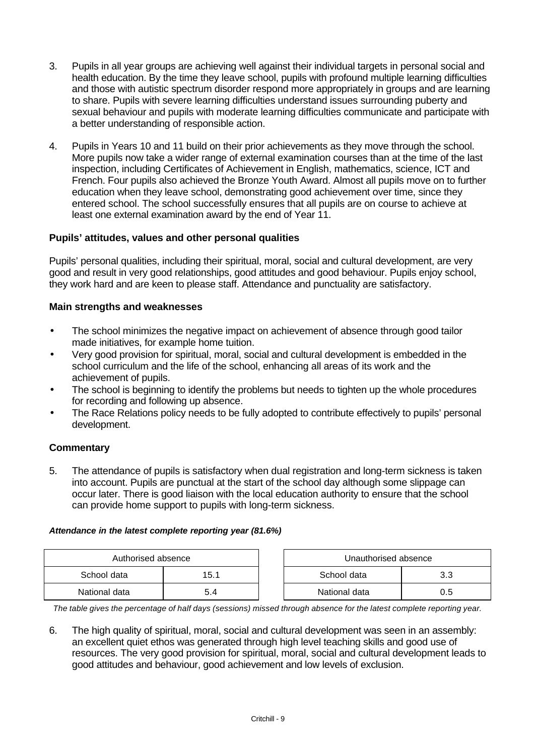- 3. Pupils in all year groups are achieving well against their individual targets in personal social and health education. By the time they leave school, pupils with profound multiple learning difficulties and those with autistic spectrum disorder respond more appropriately in groups and are learning to share. Pupils with severe learning difficulties understand issues surrounding puberty and sexual behaviour and pupils with moderate learning difficulties communicate and participate with a better understanding of responsible action.
- 4. Pupils in Years 10 and 11 build on their prior achievements as they move through the school. More pupils now take a wider range of external examination courses than at the time of the last inspection, including Certificates of Achievement in English, mathematics, science, ICT and French. Four pupils also achieved the Bronze Youth Award. Almost all pupils move on to further education when they leave school, demonstrating good achievement over time, since they entered school. The school successfully ensures that all pupils are on course to achieve at least one external examination award by the end of Year 11.

# **Pupils' attitudes, values and other personal qualities**

Pupils' personal qualities, including their spiritual, moral, social and cultural development, are very good and result in very good relationships, good attitudes and good behaviour. Pupils enjoy school, they work hard and are keen to please staff. Attendance and punctuality are satisfactory.

# **Main strengths and weaknesses**

- The school minimizes the negative impact on achievement of absence through good tailor made initiatives, for example home tuition.
- Very good provision for spiritual, moral, social and cultural development is embedded in the school curriculum and the life of the school, enhancing all areas of its work and the achievement of pupils.
- The school is beginning to identify the problems but needs to tighten up the whole procedures for recording and following up absence.
- The Race Relations policy needs to be fully adopted to contribute effectively to pupils' personal development.

# **Commentary**

5. The attendance of pupils is satisfactory when dual registration and long-term sickness is taken into account. Pupils are punctual at the start of the school day although some slippage can occur later. There is good liaison with the local education authority to ensure that the school can provide home support to pupils with long-term sickness.

## *Attendance in the latest complete reporting year (81.6%)*

| Authorised absence |      | Unauthorised absence |     |
|--------------------|------|----------------------|-----|
| School data        | 15.1 | School data          | າ າ |
| National data      | 5.4  | National data        | J.5 |

*The table gives the percentage of half days (sessions) missed through absence for the latest complete reporting year.*

6. The high quality of spiritual, moral, social and cultural development was seen in an assembly: an excellent quiet ethos was generated through high level teaching skills and good use of resources. The very good provision for spiritual, moral, social and cultural development leads to good attitudes and behaviour, good achievement and low levels of exclusion.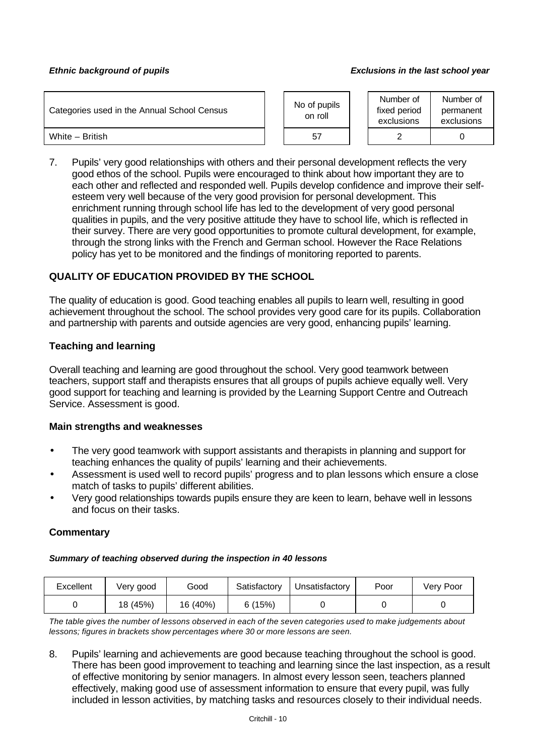#### *Ethnic background of pupils Exclusions in the last school year*

| Categories used in the Annual School Census |  | No of pupils<br>on roll |  | Number of<br>fixed period<br>exclusions | Number of<br>permanent<br>exclusions |
|---------------------------------------------|--|-------------------------|--|-----------------------------------------|--------------------------------------|
| White - British                             |  | 57                      |  |                                         |                                      |

7. Pupils' very good relationships with others and their personal development reflects the very good ethos of the school. Pupils were encouraged to think about how important they are to each other and reflected and responded well. Pupils develop confidence and improve their selfesteem very well because of the very good provision for personal development. This enrichment running through school life has led to the development of very good personal qualities in pupils, and the very positive attitude they have to school life, which is reflected in their survey. There are very good opportunities to promote cultural development, for example, through the strong links with the French and German school. However the Race Relations policy has yet to be monitored and the findings of monitoring reported to parents.

## **QUALITY OF EDUCATION PROVIDED BY THE SCHOOL**

The quality of education is good. Good teaching enables all pupils to learn well, resulting in good achievement throughout the school. The school provides very good care for its pupils. Collaboration and partnership with parents and outside agencies are very good, enhancing pupils' learning.

## **Teaching and learning**

Overall teaching and learning are good throughout the school. Very good teamwork between teachers, support staff and therapists ensures that all groups of pupils achieve equally well. Very good support for teaching and learning is provided by the Learning Support Centre and Outreach Service. Assessment is good.

#### **Main strengths and weaknesses**

- The very good teamwork with support assistants and therapists in planning and support for teaching enhances the quality of pupils' learning and their achievements.
- Assessment is used well to record pupils' progress and to plan lessons which ensure a close match of tasks to pupils' different abilities.
- Very good relationships towards pupils ensure they are keen to learn, behave well in lessons and focus on their tasks.

## **Commentary**

#### *Summary of teaching observed during the inspection in 40 lessons*

| Excellent | Very good | Good     | Satisfactory | Unsatisfactory | Poor | Very Poor |
|-----------|-----------|----------|--------------|----------------|------|-----------|
|           | 18 (45%)  | 16 (40%) | 6 (15%)      |                |      |           |

*The table gives the number of lessons observed in each of the seven categories used to make judgements about lessons; figures in brackets show percentages where 30 or more lessons are seen.*

8. Pupils' learning and achievements are good because teaching throughout the school is good. There has been good improvement to teaching and learning since the last inspection, as a result of effective monitoring by senior managers. In almost every lesson seen, teachers planned effectively, making good use of assessment information to ensure that every pupil, was fully included in lesson activities, by matching tasks and resources closely to their individual needs.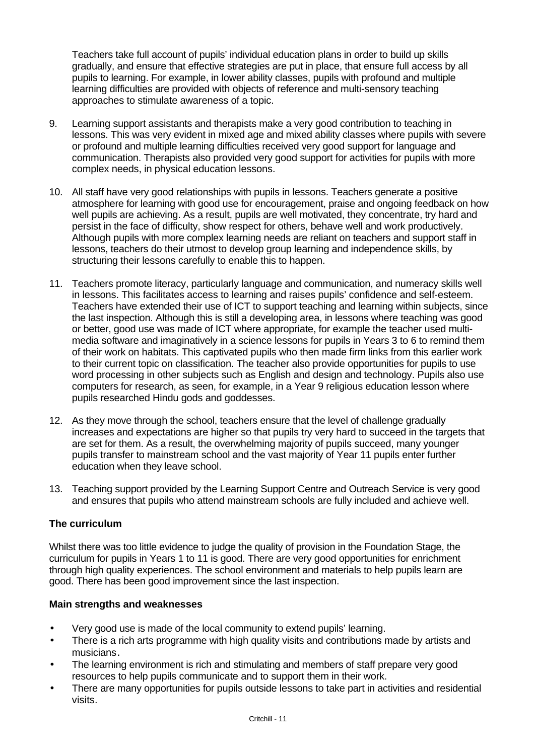Teachers take full account of pupils' individual education plans in order to build up skills gradually, and ensure that effective strategies are put in place, that ensure full access by all pupils to learning. For example, in lower ability classes, pupils with profound and multiple learning difficulties are provided with objects of reference and multi-sensory teaching approaches to stimulate awareness of a topic.

- 9. Learning support assistants and therapists make a very good contribution to teaching in lessons. This was very evident in mixed age and mixed ability classes where pupils with severe or profound and multiple learning difficulties received very good support for language and communication. Therapists also provided very good support for activities for pupils with more complex needs, in physical education lessons.
- 10. All staff have very good relationships with pupils in lessons. Teachers generate a positive atmosphere for learning with good use for encouragement, praise and ongoing feedback on how well pupils are achieving. As a result, pupils are well motivated, they concentrate, try hard and persist in the face of difficulty, show respect for others, behave well and work productively. Although pupils with more complex learning needs are reliant on teachers and support staff in lessons, teachers do their utmost to develop group learning and independence skills, by structuring their lessons carefully to enable this to happen.
- 11. Teachers promote literacy, particularly language and communication, and numeracy skills well in lessons. This facilitates access to learning and raises pupils' confidence and self-esteem. Teachers have extended their use of ICT to support teaching and learning within subjects, since the last inspection. Although this is still a developing area, in lessons where teaching was good or better, good use was made of ICT where appropriate, for example the teacher used multimedia software and imaginatively in a science lessons for pupils in Years 3 to 6 to remind them of their work on habitats. This captivated pupils who then made firm links from this earlier work to their current topic on classification. The teacher also provide opportunities for pupils to use word processing in other subjects such as English and design and technology. Pupils also use computers for research, as seen, for example, in a Year 9 religious education lesson where pupils researched Hindu gods and goddesses.
- 12. As they move through the school, teachers ensure that the level of challenge gradually increases and expectations are higher so that pupils try very hard to succeed in the targets that are set for them. As a result, the overwhelming majority of pupils succeed, many younger pupils transfer to mainstream school and the vast majority of Year 11 pupils enter further education when they leave school.
- 13. Teaching support provided by the Learning Support Centre and Outreach Service is very good and ensures that pupils who attend mainstream schools are fully included and achieve well.

# **The curriculum**

Whilst there was too little evidence to judge the quality of provision in the Foundation Stage, the curriculum for pupils in Years 1 to 11 is good. There are very good opportunities for enrichment through high quality experiences. The school environment and materials to help pupils learn are good. There has been good improvement since the last inspection.

## **Main strengths and weaknesses**

- Very good use is made of the local community to extend pupils' learning.
- There is a rich arts programme with high quality visits and contributions made by artists and musicians.
- The learning environment is rich and stimulating and members of staff prepare very good resources to help pupils communicate and to support them in their work.
- There are many opportunities for pupils outside lessons to take part in activities and residential visits.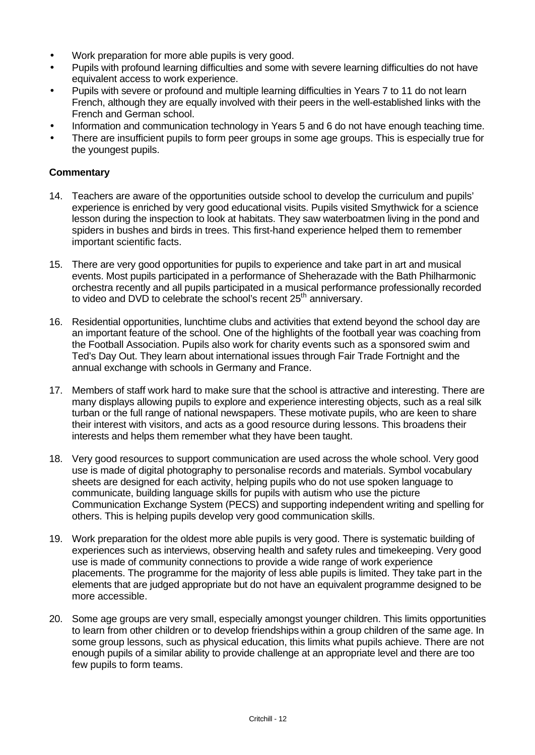- Work preparation for more able pupils is very good.
- Pupils with profound learning difficulties and some with severe learning difficulties do not have equivalent access to work experience.
- Pupils with severe or profound and multiple learning difficulties in Years 7 to 11 do not learn French, although they are equally involved with their peers in the well-established links with the French and German school.
- Information and communication technology in Years 5 and 6 do not have enough teaching time.
- There are insufficient pupils to form peer groups in some age groups. This is especially true for the youngest pupils.

- 14. Teachers are aware of the opportunities outside school to develop the curriculum and pupils' experience is enriched by very good educational visits. Pupils visited Smythwick for a science lesson during the inspection to look at habitats. They saw waterboatmen living in the pond and spiders in bushes and birds in trees. This first-hand experience helped them to remember important scientific facts.
- 15. There are very good opportunities for pupils to experience and take part in art and musical events. Most pupils participated in a performance of Sheherazade with the Bath Philharmonic orchestra recently and all pupils participated in a musical performance professionally recorded to video and DVD to celebrate the school's recent 25<sup>th</sup> anniversary.
- 16. Residential opportunities, lunchtime clubs and activities that extend beyond the school day are an important feature of the school. One of the highlights of the football year was coaching from the Football Association. Pupils also work for charity events such as a sponsored swim and Ted's Day Out. They learn about international issues through Fair Trade Fortnight and the annual exchange with schools in Germany and France.
- 17. Members of staff work hard to make sure that the school is attractive and interesting. There are many displays allowing pupils to explore and experience interesting objects, such as a real silk turban or the full range of national newspapers. These motivate pupils, who are keen to share their interest with visitors, and acts as a good resource during lessons. This broadens their interests and helps them remember what they have been taught.
- 18. Very good resources to support communication are used across the whole school. Very good use is made of digital photography to personalise records and materials. Symbol vocabulary sheets are designed for each activity, helping pupils who do not use spoken language to communicate, building language skills for pupils with autism who use the picture Communication Exchange System (PECS) and supporting independent writing and spelling for others. This is helping pupils develop very good communication skills.
- 19. Work preparation for the oldest more able pupils is very good. There is systematic building of experiences such as interviews, observing health and safety rules and timekeeping. Very good use is made of community connections to provide a wide range of work experience placements. The programme for the majority of less able pupils is limited. They take part in the elements that are judged appropriate but do not have an equivalent programme designed to be more accessible.
- 20. Some age groups are very small, especially amongst younger children. This limits opportunities to learn from other children or to develop friendships within a group children of the same age. In some group lessons, such as physical education, this limits what pupils achieve. There are not enough pupils of a similar ability to provide challenge at an appropriate level and there are too few pupils to form teams.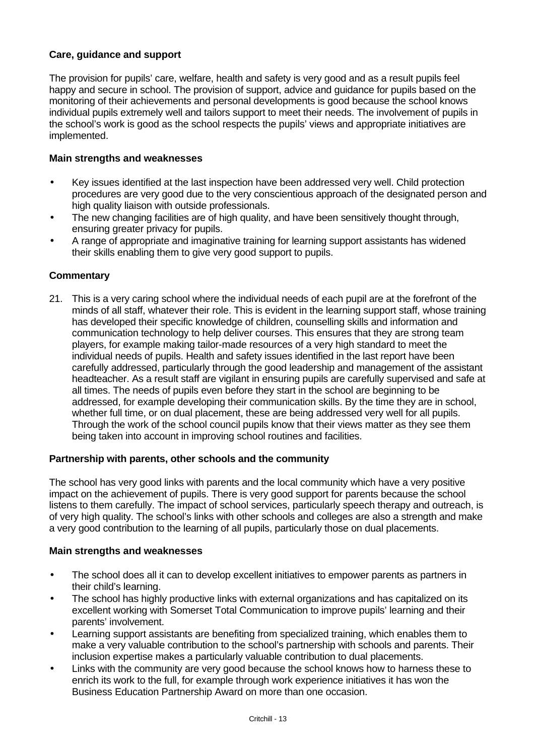## **Care, guidance and support**

The provision for pupils' care, welfare, health and safety is very good and as a result pupils feel happy and secure in school. The provision of support, advice and guidance for pupils based on the monitoring of their achievements and personal developments is good because the school knows individual pupils extremely well and tailors support to meet their needs. The involvement of pupils in the school's work is good as the school respects the pupils' views and appropriate initiatives are implemented.

## **Main strengths and weaknesses**

- Key issues identified at the last inspection have been addressed very well. Child protection procedures are very good due to the very conscientious approach of the designated person and high quality liaison with outside professionals.
- The new changing facilities are of high quality, and have been sensitively thought through, ensuring greater privacy for pupils.
- A range of appropriate and imaginative training for learning support assistants has widened their skills enabling them to give very good support to pupils.

## **Commentary**

21. This is a very caring school where the individual needs of each pupil are at the forefront of the minds of all staff, whatever their role. This is evident in the learning support staff, whose training has developed their specific knowledge of children, counselling skills and information and communication technology to help deliver courses. This ensures that they are strong team players, for example making tailor-made resources of a very high standard to meet the individual needs of pupils. Health and safety issues identified in the last report have been carefully addressed, particularly through the good leadership and management of the assistant headteacher. As a result staff are vigilant in ensuring pupils are carefully supervised and safe at all times. The needs of pupils even before they start in the school are beginning to be addressed, for example developing their communication skills. By the time they are in school, whether full time, or on dual placement, these are being addressed very well for all pupils. Through the work of the school council pupils know that their views matter as they see them being taken into account in improving school routines and facilities.

## **Partnership with parents, other schools and the community**

The school has very good links with parents and the local community which have a very positive impact on the achievement of pupils. There is very good support for parents because the school listens to them carefully. The impact of school services, particularly speech therapy and outreach, is of very high quality. The school's links with other schools and colleges are also a strength and make a very good contribution to the learning of all pupils, particularly those on dual placements.

#### **Main strengths and weaknesses**

- The school does all it can to develop excellent initiatives to empower parents as partners in their child's learning.
- The school has highly productive links with external organizations and has capitalized on its excellent working with Somerset Total Communication to improve pupils' learning and their parents' involvement.
- Learning support assistants are benefiting from specialized training, which enables them to make a very valuable contribution to the school's partnership with schools and parents. Their inclusion expertise makes a particularly valuable contribution to dual placements.
- Links with the community are very good because the school knows how to harness these to enrich its work to the full, for example through work experience initiatives it has won the Business Education Partnership Award on more than one occasion.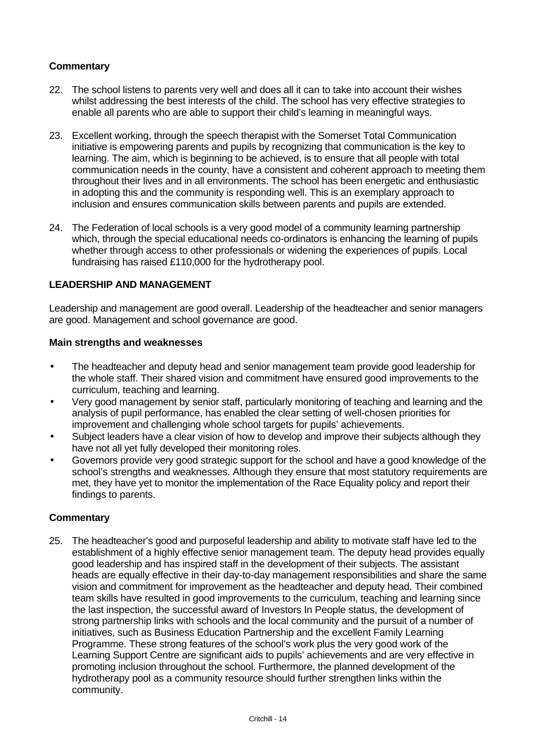## **Commentary**

- 22. The school listens to parents very well and does all it can to take into account their wishes whilst addressing the best interests of the child. The school has very effective strategies to enable all parents who are able to support their child's learning in meaningful ways.
- 23. Excellent working, through the speech therapist with the Somerset Total Communication initiative is empowering parents and pupils by recognizing that communication is the key to learning. The aim, which is beginning to be achieved, is to ensure that all people with total communication needs in the county, have a consistent and coherent approach to meeting them throughout their lives and in all environments. The school has been energetic and enthusiastic in adopting this and the community is responding well. This is an exemplary approach to inclusion and ensures communication skills between parents and pupils are extended.
- 24. The Federation of local schools is a very good model of a community learning partnership which, through the special educational needs co-ordinators is enhancing the learning of pupils whether through access to other professionals or widening the experiences of pupils. Local fundraising has raised £110,000 for the hydrotherapy pool.

## **LEADERSHIP AND MANAGEMENT**

Leadership and management are good overall. Leadership of the headteacher and senior managers are good. Management and school governance are good.

#### **Main strengths and weaknesses**

- The headteacher and deputy head and senior management team provide good leadership for the whole staff. Their shared vision and commitment have ensured good improvements to the curriculum, teaching and learning.
- Very good management by senior staff, particularly monitoring of teaching and learning and the analysis of pupil performance, has enabled the clear setting of well-chosen priorities for improvement and challenging whole school targets for pupils' achievements.
- Subject leaders have a clear vision of how to develop and improve their subjects although they have not all yet fully developed their monitoring roles.
- Governors provide very good strategic support for the school and have a good knowledge of the school's strengths and weaknesses. Although they ensure that most statutory requirements are met, they have yet to monitor the implementation of the Race Equality policy and report their findings to parents.

## **Commentary**

25. The headteacher's good and purposeful leadership and ability to motivate staff have led to the establishment of a highly effective senior management team. The deputy head provides equally good leadership and has inspired staff in the development of their subjects. The assistant heads are equally effective in their day-to-day management responsibilities and share the same vision and commitment for improvement as the headteacher and deputy head. Their combined team skills have resulted in good improvements to the curriculum, teaching and learning since the last inspection, the successful award of Investors In People status, the development of strong partnership links with schools and the local community and the pursuit of a number of initiatives, such as Business Education Partnership and the excellent Family Learning Programme. These strong features of the school's work plus the very good work of the Learning Support Centre are significant aids to pupils' achievements and are very effective in promoting inclusion throughout the school. Furthermore, the planned development of the hydrotherapy pool as a community resource should further strengthen links within the community.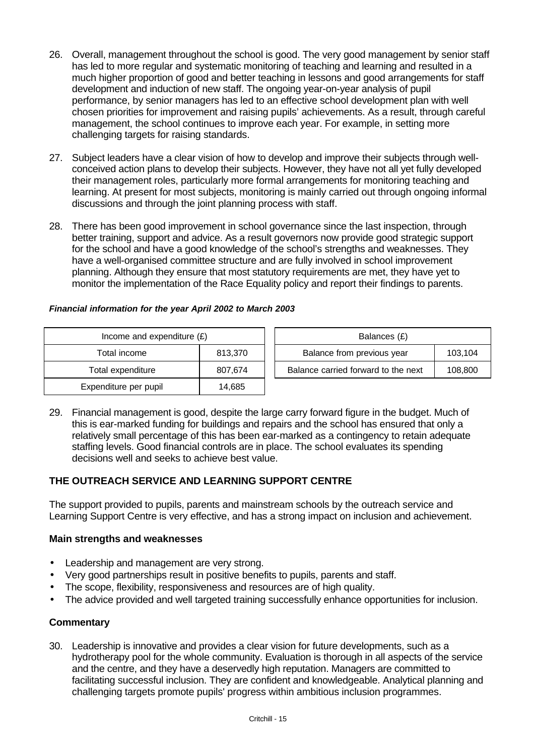- 26. Overall, management throughout the school is good. The very good management by senior staff has led to more regular and systematic monitoring of teaching and learning and resulted in a much higher proportion of good and better teaching in lessons and good arrangements for staff development and induction of new staff. The ongoing year-on-year analysis of pupil performance, by senior managers has led to an effective school development plan with well chosen priorities for improvement and raising pupils' achievements. As a result, through careful management, the school continues to improve each year. For example, in setting more challenging targets for raising standards.
- 27. Subject leaders have a clear vision of how to develop and improve their subjects through wellconceived action plans to develop their subjects. However, they have not all yet fully developed their management roles, particularly more formal arrangements for monitoring teaching and learning. At present for most subjects, monitoring is mainly carried out through ongoing informal discussions and through the joint planning process with staff.
- 28. There has been good improvement in school governance since the last inspection, through better training, support and advice. As a result governors now provide good strategic support for the school and have a good knowledge of the school's strengths and weaknesses. They have a well-organised committee structure and are fully involved in school improvement planning. Although they ensure that most statutory requirements are met, they have yet to monitor the implementation of the Race Equality policy and report their findings to parents.

## *Financial information for the year April 2002 to March 2003*

| Income and expenditure $(E)$ |         | Balances (£)                        |         |  |
|------------------------------|---------|-------------------------------------|---------|--|
| Total income                 | 813.370 | Balance from previous year          | 103,104 |  |
| Total expenditure            | 807,674 | Balance carried forward to the next | 108,800 |  |
| Expenditure per pupil        | 14.685  |                                     |         |  |

29. Financial management is good, despite the large carry forward figure in the budget. Much of this is ear-marked funding for buildings and repairs and the school has ensured that only a relatively small percentage of this has been ear-marked as a contingency to retain adequate staffing levels. Good financial controls are in place. The school evaluates its spending decisions well and seeks to achieve best value.

# **THE OUTREACH SERVICE AND LEARNING SUPPORT CENTRE**

The support provided to pupils, parents and mainstream schools by the outreach service and Learning Support Centre is very effective, and has a strong impact on inclusion and achievement.

## **Main strengths and weaknesses**

- Leadership and management are very strong.
- Very good partnerships result in positive benefits to pupils, parents and staff.
- The scope, flexibility, responsiveness and resources are of high quality.
- The advice provided and well targeted training successfully enhance opportunities for inclusion.

## **Commentary**

30. Leadership is innovative and provides a clear vision for future developments, such as a hydrotherapy pool for the whole community. Evaluation is thorough in all aspects of the service and the centre, and they have a deservedly high reputation. Managers are committed to facilitating successful inclusion. They are confident and knowledgeable. Analytical planning and challenging targets promote pupils' progress within ambitious inclusion programmes.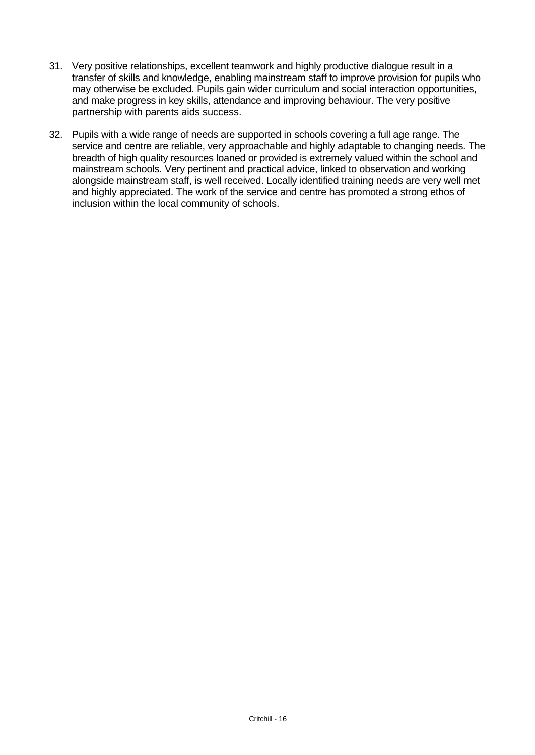- 31. Very positive relationships, excellent teamwork and highly productive dialogue result in a transfer of skills and knowledge, enabling mainstream staff to improve provision for pupils who may otherwise be excluded. Pupils gain wider curriculum and social interaction opportunities, and make progress in key skills, attendance and improving behaviour. The very positive partnership with parents aids success.
- 32. Pupils with a wide range of needs are supported in schools covering a full age range. The service and centre are reliable, very approachable and highly adaptable to changing needs. The breadth of high quality resources loaned or provided is extremely valued within the school and mainstream schools. Very pertinent and practical advice, linked to observation and working alongside mainstream staff, is well received. Locally identified training needs are very well met and highly appreciated. The work of the service and centre has promoted a strong ethos of inclusion within the local community of schools.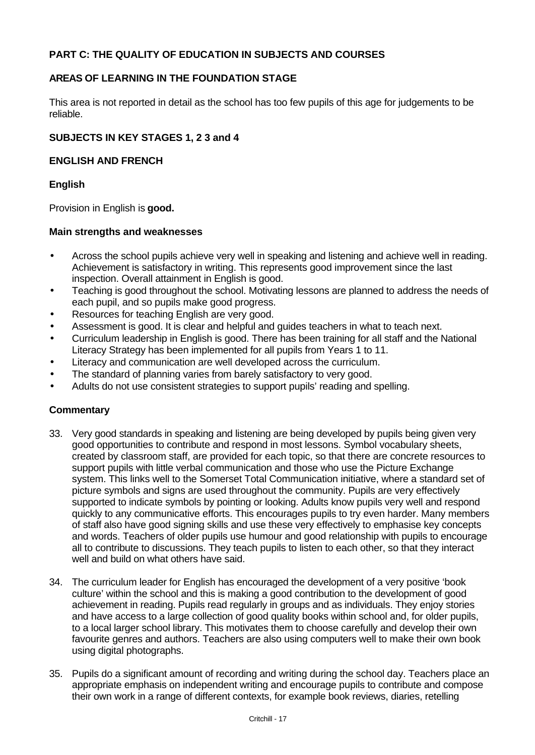## **PART C: THE QUALITY OF EDUCATION IN SUBJECTS AND COURSES**

## **AREAS OF LEARNING IN THE FOUNDATION STAGE**

This area is not reported in detail as the school has too few pupils of this age for judgements to be reliable.

## **SUBJECTS IN KEY STAGES 1, 2 3 and 4**

## **ENGLISH AND FRENCH**

## **English**

Provision in English is **good.**

## **Main strengths and weaknesses**

- Across the school pupils achieve very well in speaking and listening and achieve well in reading. Achievement is satisfactory in writing. This represents good improvement since the last inspection. Overall attainment in English is good.
- Teaching is good throughout the school. Motivating lessons are planned to address the needs of each pupil, and so pupils make good progress.
- Resources for teaching English are very good.
- Assessment is good. It is clear and helpful and guides teachers in what to teach next.
- Curriculum leadership in English is good. There has been training for all staff and the National Literacy Strategy has been implemented for all pupils from Years 1 to 11.
- Literacy and communication are well developed across the curriculum.
- The standard of planning varies from barely satisfactory to very good.
- Adults do not use consistent strategies to support pupils' reading and spelling.

- 33. Very good standards in speaking and listening are being developed by pupils being given very good opportunities to contribute and respond in most lessons. Symbol vocabulary sheets, created by classroom staff, are provided for each topic, so that there are concrete resources to support pupils with little verbal communication and those who use the Picture Exchange system. This links well to the Somerset Total Communication initiative, where a standard set of picture symbols and signs are used throughout the community. Pupils are very effectively supported to indicate symbols by pointing or looking. Adults know pupils very well and respond quickly to any communicative efforts. This encourages pupils to try even harder. Many members of staff also have good signing skills and use these very effectively to emphasise key concepts and words. Teachers of older pupils use humour and good relationship with pupils to encourage all to contribute to discussions. They teach pupils to listen to each other, so that they interact well and build on what others have said.
- 34. The curriculum leader for English has encouraged the development of a very positive 'book culture' within the school and this is making a good contribution to the development of good achievement in reading. Pupils read regularly in groups and as individuals. They enjoy stories and have access to a large collection of good quality books within school and, for older pupils, to a local larger school library. This motivates them to choose carefully and develop their own favourite genres and authors. Teachers are also using computers well to make their own book using digital photographs.
- 35. Pupils do a significant amount of recording and writing during the school day. Teachers place an appropriate emphasis on independent writing and encourage pupils to contribute and compose their own work in a range of different contexts, for example book reviews, diaries, retelling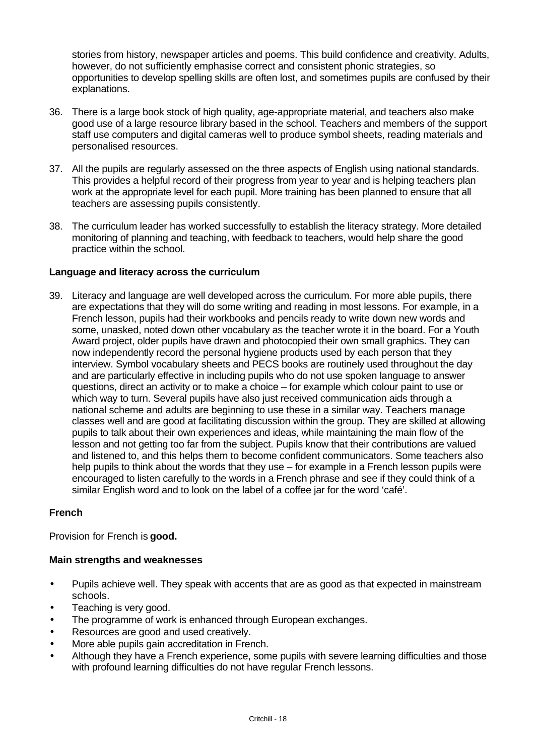stories from history, newspaper articles and poems. This build confidence and creativity. Adults, however, do not sufficiently emphasise correct and consistent phonic strategies, so opportunities to develop spelling skills are often lost, and sometimes pupils are confused by their explanations.

- 36. There is a large book stock of high quality, age-appropriate material, and teachers also make good use of a large resource library based in the school. Teachers and members of the support staff use computers and digital cameras well to produce symbol sheets, reading materials and personalised resources.
- 37. All the pupils are regularly assessed on the three aspects of English using national standards. This provides a helpful record of their progress from year to year and is helping teachers plan work at the appropriate level for each pupil. More training has been planned to ensure that all teachers are assessing pupils consistently.
- 38. The curriculum leader has worked successfully to establish the literacy strategy. More detailed monitoring of planning and teaching, with feedback to teachers, would help share the good practice within the school.

## **Language and literacy across the curriculum**

39. Literacy and language are well developed across the curriculum. For more able pupils, there are expectations that they will do some writing and reading in most lessons. For example, in a French lesson, pupils had their workbooks and pencils ready to write down new words and some, unasked, noted down other vocabulary as the teacher wrote it in the board. For a Youth Award project, older pupils have drawn and photocopied their own small graphics. They can now independently record the personal hygiene products used by each person that they interview. Symbol vocabulary sheets and PECS books are routinely used throughout the day and are particularly effective in including pupils who do not use spoken language to answer questions, direct an activity or to make a choice – for example which colour paint to use or which way to turn. Several pupils have also just received communication aids through a national scheme and adults are beginning to use these in a similar way. Teachers manage classes well and are good at facilitating discussion within the group. They are skilled at allowing pupils to talk about their own experiences and ideas, while maintaining the main flow of the lesson and not getting too far from the subject. Pupils know that their contributions are valued and listened to, and this helps them to become confident communicators. Some teachers also help pupils to think about the words that they use – for example in a French lesson pupils were encouraged to listen carefully to the words in a French phrase and see if they could think of a similar English word and to look on the label of a coffee jar for the word 'café'.

## **French**

Provision for French is **good.**

## **Main strengths and weaknesses**

- Pupils achieve well. They speak with accents that are as good as that expected in mainstream schools.
- Teaching is very good.
- The programme of work is enhanced through European exchanges.
- Resources are good and used creatively.
- More able pupils gain accreditation in French.
- Although they have a French experience, some pupils with severe learning difficulties and those with profound learning difficulties do not have regular French lessons.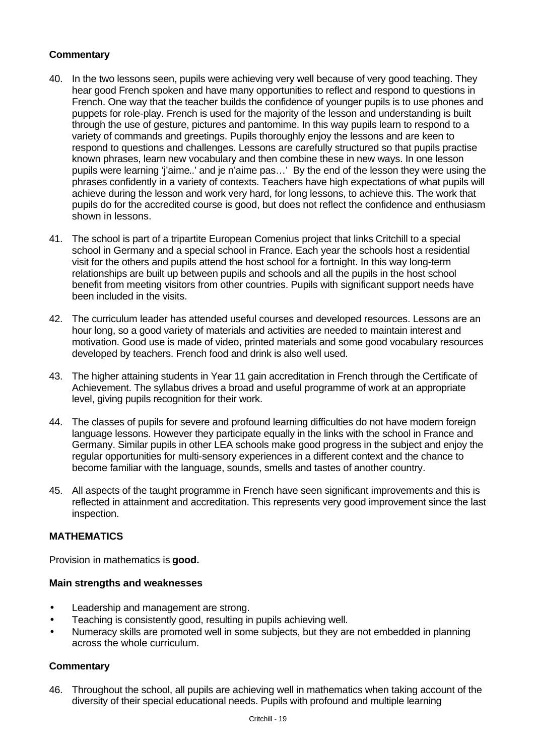# **Commentary**

- 40. In the two lessons seen, pupils were achieving very well because of very good teaching. They hear good French spoken and have many opportunities to reflect and respond to questions in French. One way that the teacher builds the confidence of younger pupils is to use phones and puppets for role-play. French is used for the majority of the lesson and understanding is built through the use of gesture, pictures and pantomime. In this way pupils learn to respond to a variety of commands and greetings. Pupils thoroughly enjoy the lessons and are keen to respond to questions and challenges. Lessons are carefully structured so that pupils practise known phrases, learn new vocabulary and then combine these in new ways. In one lesson pupils were learning 'j'aime..' and je n'aime pas…' By the end of the lesson they were using the phrases confidently in a variety of contexts. Teachers have high expectations of what pupils will achieve during the lesson and work very hard, for long lessons, to achieve this. The work that pupils do for the accredited course is good, but does not reflect the confidence and enthusiasm shown in lessons.
- 41. The school is part of a tripartite European Comenius project that links Critchill to a special school in Germany and a special school in France. Each year the schools host a residential visit for the others and pupils attend the host school for a fortnight. In this way long-term relationships are built up between pupils and schools and all the pupils in the host school benefit from meeting visitors from other countries. Pupils with significant support needs have been included in the visits.
- 42. The curriculum leader has attended useful courses and developed resources. Lessons are an hour long, so a good variety of materials and activities are needed to maintain interest and motivation. Good use is made of video, printed materials and some good vocabulary resources developed by teachers. French food and drink is also well used.
- 43. The higher attaining students in Year 11 gain accreditation in French through the Certificate of Achievement. The syllabus drives a broad and useful programme of work at an appropriate level, giving pupils recognition for their work.
- 44. The classes of pupils for severe and profound learning difficulties do not have modern foreign language lessons. However they participate equally in the links with the school in France and Germany. Similar pupils in other LEA schools make good progress in the subject and enjoy the regular opportunities for multi-sensory experiences in a different context and the chance to become familiar with the language, sounds, smells and tastes of another country.
- 45. All aspects of the taught programme in French have seen significant improvements and this is reflected in attainment and accreditation. This represents very good improvement since the last inspection.

## **MATHEMATICS**

Provision in mathematics is **good.**

## **Main strengths and weaknesses**

- Leadership and management are strong.
- Teaching is consistently good, resulting in pupils achieving well.
- Numeracy skills are promoted well in some subjects, but they are not embedded in planning across the whole curriculum.

## **Commentary**

46. Throughout the school, all pupils are achieving well in mathematics when taking account of the diversity of their special educational needs. Pupils with profound and multiple learning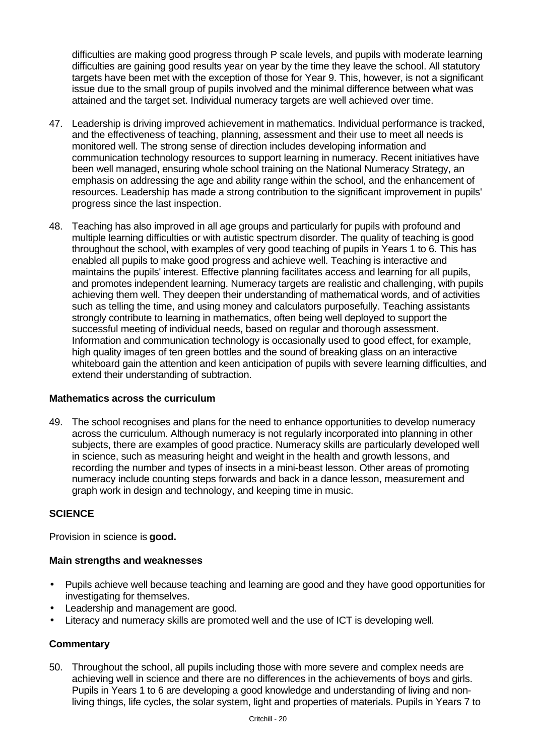difficulties are making good progress through P scale levels, and pupils with moderate learning difficulties are gaining good results year on year by the time they leave the school. All statutory targets have been met with the exception of those for Year 9. This, however, is not a significant issue due to the small group of pupils involved and the minimal difference between what was attained and the target set. Individual numeracy targets are well achieved over time.

- 47. Leadership is driving improved achievement in mathematics. Individual performance is tracked, and the effectiveness of teaching, planning, assessment and their use to meet all needs is monitored well. The strong sense of direction includes developing information and communication technology resources to support learning in numeracy. Recent initiatives have been well managed, ensuring whole school training on the National Numeracy Strategy, an emphasis on addressing the age and ability range within the school, and the enhancement of resources. Leadership has made a strong contribution to the significant improvement in pupils' progress since the last inspection.
- 48. Teaching has also improved in all age groups and particularly for pupils with profound and multiple learning difficulties or with autistic spectrum disorder. The quality of teaching is good throughout the school, with examples of very good teaching of pupils in Years 1 to 6. This has enabled all pupils to make good progress and achieve well. Teaching is interactive and maintains the pupils' interest. Effective planning facilitates access and learning for all pupils, and promotes independent learning. Numeracy targets are realistic and challenging, with pupils achieving them well. They deepen their understanding of mathematical words, and of activities such as telling the time, and using money and calculators purposefully. Teaching assistants strongly contribute to learning in mathematics, often being well deployed to support the successful meeting of individual needs, based on regular and thorough assessment. Information and communication technology is occasionally used to good effect, for example, high quality images of ten green bottles and the sound of breaking glass on an interactive whiteboard gain the attention and keen anticipation of pupils with severe learning difficulties, and extend their understanding of subtraction.

## **Mathematics across the curriculum**

49. The school recognises and plans for the need to enhance opportunities to develop numeracy across the curriculum. Although numeracy is not regularly incorporated into planning in other subjects, there are examples of good practice. Numeracy skills are particularly developed well in science, such as measuring height and weight in the health and growth lessons, and recording the number and types of insects in a mini-beast lesson. Other areas of promoting numeracy include counting steps forwards and back in a dance lesson, measurement and graph work in design and technology, and keeping time in music.

# **SCIENCE**

Provision in science is **good.**

## **Main strengths and weaknesses**

- Pupils achieve well because teaching and learning are good and they have good opportunities for investigating for themselves.
- Leadership and management are good.
- Literacy and numeracy skills are promoted well and the use of ICT is developing well.

# **Commentary**

50. Throughout the school, all pupils including those with more severe and complex needs are achieving well in science and there are no differences in the achievements of boys and girls. Pupils in Years 1 to 6 are developing a good knowledge and understanding of living and nonliving things, life cycles, the solar system, light and properties of materials. Pupils in Years 7 to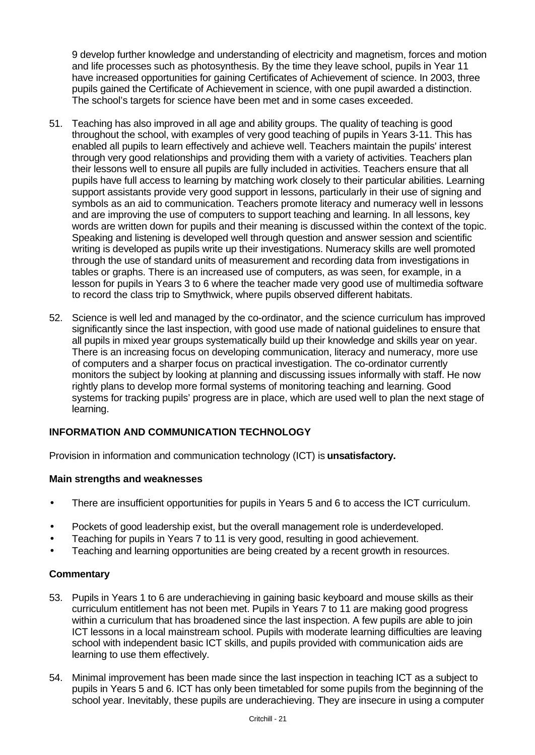9 develop further knowledge and understanding of electricity and magnetism, forces and motion and life processes such as photosynthesis. By the time they leave school, pupils in Year 11 have increased opportunities for gaining Certificates of Achievement of science. In 2003, three pupils gained the Certificate of Achievement in science, with one pupil awarded a distinction. The school's targets for science have been met and in some cases exceeded.

- 51. Teaching has also improved in all age and ability groups. The quality of teaching is good throughout the school, with examples of very good teaching of pupils in Years 3-11. This has enabled all pupils to learn effectively and achieve well. Teachers maintain the pupils' interest through very good relationships and providing them with a variety of activities. Teachers plan their lessons well to ensure all pupils are fully included in activities. Teachers ensure that all pupils have full access to learning by matching work closely to their particular abilities. Learning support assistants provide very good support in lessons, particularly in their use of signing and symbols as an aid to communication. Teachers promote literacy and numeracy well in lessons and are improving the use of computers to support teaching and learning. In all lessons, key words are written down for pupils and their meaning is discussed within the context of the topic. Speaking and listening is developed well through question and answer session and scientific writing is developed as pupils write up their investigations. Numeracy skills are well promoted through the use of standard units of measurement and recording data from investigations in tables or graphs. There is an increased use of computers, as was seen, for example, in a lesson for pupils in Years 3 to 6 where the teacher made very good use of multimedia software to record the class trip to Smythwick, where pupils observed different habitats.
- 52. Science is well led and managed by the co-ordinator, and the science curriculum has improved significantly since the last inspection, with good use made of national guidelines to ensure that all pupils in mixed year groups systematically build up their knowledge and skills year on year. There is an increasing focus on developing communication, literacy and numeracy, more use of computers and a sharper focus on practical investigation. The co-ordinator currently monitors the subject by looking at planning and discussing issues informally with staff. He now rightly plans to develop more formal systems of monitoring teaching and learning. Good systems for tracking pupils' progress are in place, which are used well to plan the next stage of learning.

# **INFORMATION AND COMMUNICATION TECHNOLOGY**

Provision in information and communication technology (ICT) is **unsatisfactory.**

## **Main strengths and weaknesses**

- There are insufficient opportunities for pupils in Years 5 and 6 to access the ICT curriculum.
- Pockets of good leadership exist, but the overall management role is underdeveloped.
- Teaching for pupils in Years 7 to 11 is very good, resulting in good achievement.
- Teaching and learning opportunities are being created by a recent growth in resources.

- 53. Pupils in Years 1 to 6 are underachieving in gaining basic keyboard and mouse skills as their curriculum entitlement has not been met. Pupils in Years 7 to 11 are making good progress within a curriculum that has broadened since the last inspection. A few pupils are able to join ICT lessons in a local mainstream school. Pupils with moderate learning difficulties are leaving school with independent basic ICT skills, and pupils provided with communication aids are learning to use them effectively.
- 54. Minimal improvement has been made since the last inspection in teaching ICT as a subject to pupils in Years 5 and 6. ICT has only been timetabled for some pupils from the beginning of the school year. Inevitably, these pupils are underachieving. They are insecure in using a computer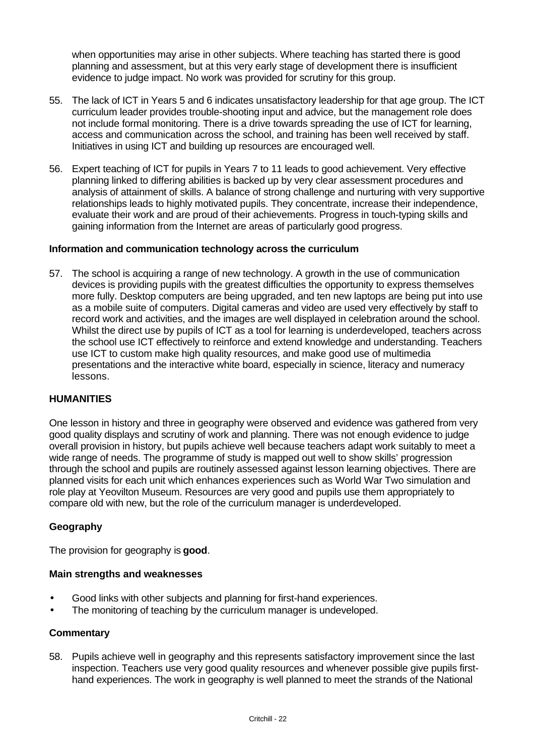when opportunities may arise in other subjects. Where teaching has started there is good planning and assessment, but at this very early stage of development there is insufficient evidence to judge impact. No work was provided for scrutiny for this group.

- 55. The lack of ICT in Years 5 and 6 indicates unsatisfactory leadership for that age group. The ICT curriculum leader provides trouble-shooting input and advice, but the management role does not include formal monitoring. There is a drive towards spreading the use of ICT for learning, access and communication across the school, and training has been well received by staff. Initiatives in using ICT and building up resources are encouraged well.
- 56. Expert teaching of ICT for pupils in Years 7 to 11 leads to good achievement. Very effective planning linked to differing abilities is backed up by very clear assessment procedures and analysis of attainment of skills. A balance of strong challenge and nurturing with very supportive relationships leads to highly motivated pupils. They concentrate, increase their independence, evaluate their work and are proud of their achievements. Progress in touch-typing skills and gaining information from the Internet are areas of particularly good progress.

## **Information and communication technology across the curriculum**

57. The school is acquiring a range of new technology. A growth in the use of communication devices is providing pupils with the greatest difficulties the opportunity to express themselves more fully. Desktop computers are being upgraded, and ten new laptops are being put into use as a mobile suite of computers. Digital cameras and video are used very effectively by staff to record work and activities, and the images are well displayed in celebration around the school. Whilst the direct use by pupils of ICT as a tool for learning is underdeveloped, teachers across the school use ICT effectively to reinforce and extend knowledge and understanding. Teachers use ICT to custom make high quality resources, and make good use of multimedia presentations and the interactive white board, especially in science, literacy and numeracy lessons.

## **HUMANITIES**

One lesson in history and three in geography were observed and evidence was gathered from very good quality displays and scrutiny of work and planning. There was not enough evidence to judge overall provision in history, but pupils achieve well because teachers adapt work suitably to meet a wide range of needs. The programme of study is mapped out well to show skills' progression through the school and pupils are routinely assessed against lesson learning objectives. There are planned visits for each unit which enhances experiences such as World War Two simulation and role play at Yeovilton Museum. Resources are very good and pupils use them appropriately to compare old with new, but the role of the curriculum manager is underdeveloped.

## **Geography**

The provision for geography is **good**.

#### **Main strengths and weaknesses**

- Good links with other subjects and planning for first-hand experiences.
- The monitoring of teaching by the curriculum manager is undeveloped.

#### **Commentary**

58. Pupils achieve well in geography and this represents satisfactory improvement since the last inspection. Teachers use very good quality resources and whenever possible give pupils firsthand experiences. The work in geography is well planned to meet the strands of the National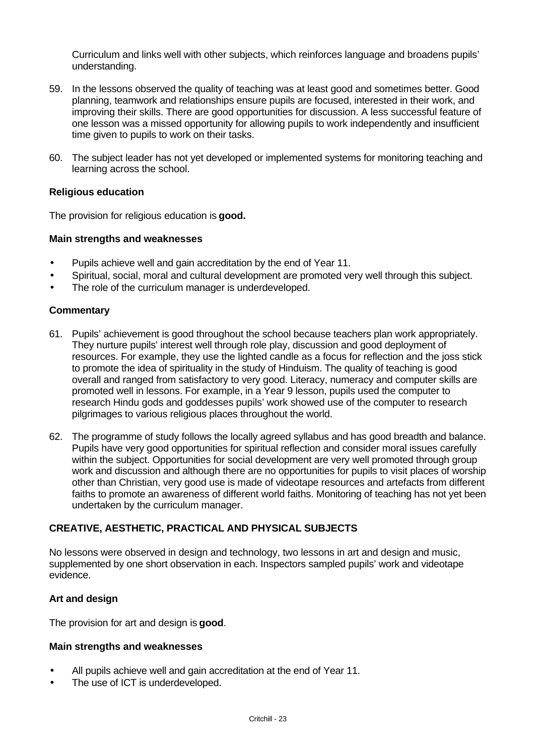Curriculum and links well with other subjects, which reinforces language and broadens pupils' understanding.

- 59. In the lessons observed the quality of teaching was at least good and sometimes better. Good planning, teamwork and relationships ensure pupils are focused, interested in their work, and improving their skills. There are good opportunities for discussion. A less successful feature of one lesson was a missed opportunity for allowing pupils to work independently and insufficient time given to pupils to work on their tasks.
- 60. The subject leader has not yet developed or implemented systems for monitoring teaching and learning across the school.

## **Religious education**

The provision for religious education is **good.**

#### **Main strengths and weaknesses**

- Pupils achieve well and gain accreditation by the end of Year 11.
- Spiritual, social, moral and cultural development are promoted very well through this subject.
- The role of the curriculum manager is underdeveloped.

#### **Commentary**

- 61. Pupils' achievement is good throughout the school because teachers plan work appropriately. They nurture pupils' interest well through role play, discussion and good deployment of resources. For example, they use the lighted candle as a focus for reflection and the joss stick to promote the idea of spirituality in the study of Hinduism. The quality of teaching is good overall and ranged from satisfactory to very good. Literacy, numeracy and computer skills are promoted well in lessons. For example, in a Year 9 lesson, pupils used the computer to research Hindu gods and goddesses pupils' work showed use of the computer to research pilgrimages to various religious places throughout the world.
- 62. The programme of study follows the locally agreed syllabus and has good breadth and balance. Pupils have very good opportunities for spiritual reflection and consider moral issues carefully within the subject. Opportunities for social development are very well promoted through group work and discussion and although there are no opportunities for pupils to visit places of worship other than Christian, very good use is made of videotape resources and artefacts from different faiths to promote an awareness of different world faiths. Monitoring of teaching has not yet been undertaken by the curriculum manager.

## **CREATIVE, AESTHETIC, PRACTICAL AND PHYSICAL SUBJECTS**

No lessons were observed in design and technology, two lessons in art and design and music, supplemented by one short observation in each. Inspectors sampled pupils' work and videotape evidence.

#### **Art and design**

The provision for art and design is **good**.

#### **Main strengths and weaknesses**

- All pupils achieve well and gain accreditation at the end of Year 11.
- The use of ICT is underdeveloped.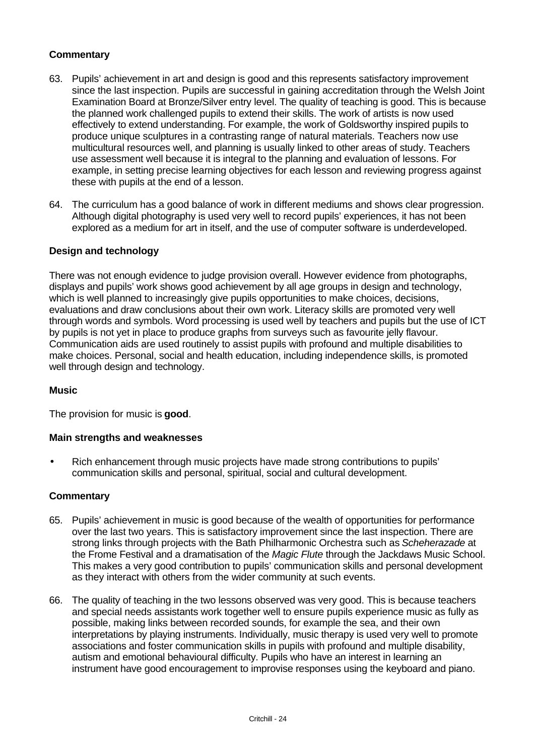## **Commentary**

- 63. Pupils' achievement in art and design is good and this represents satisfactory improvement since the last inspection. Pupils are successful in gaining accreditation through the Welsh Joint Examination Board at Bronze/Silver entry level. The quality of teaching is good. This is because the planned work challenged pupils to extend their skills. The work of artists is now used effectively to extend understanding. For example, the work of Goldsworthy inspired pupils to produce unique sculptures in a contrasting range of natural materials. Teachers now use multicultural resources well, and planning is usually linked to other areas of study. Teachers use assessment well because it is integral to the planning and evaluation of lessons. For example, in setting precise learning objectives for each lesson and reviewing progress against these with pupils at the end of a lesson.
- 64. The curriculum has a good balance of work in different mediums and shows clear progression. Although digital photography is used very well to record pupils' experiences, it has not been explored as a medium for art in itself, and the use of computer software is underdeveloped.

## **Design and technology**

There was not enough evidence to judge provision overall. However evidence from photographs, displays and pupils' work shows good achievement by all age groups in design and technology, which is well planned to increasingly give pupils opportunities to make choices, decisions, evaluations and draw conclusions about their own work. Literacy skills are promoted very well through words and symbols. Word processing is used well by teachers and pupils but the use of ICT by pupils is not yet in place to produce graphs from surveys such as favourite jelly flavour. Communication aids are used routinely to assist pupils with profound and multiple disabilities to make choices. Personal, social and health education, including independence skills, is promoted well through design and technology.

## **Music**

The provision for music is **good**.

#### **Main strengths and weaknesses**

• Rich enhancement through music projects have made strong contributions to pupils' communication skills and personal, spiritual, social and cultural development.

- 65. Pupils' achievement in music is good because of the wealth of opportunities for performance over the last two years. This is satisfactory improvement since the last inspection. There are strong links through projects with the Bath Philharmonic Orchestra such as *Scheherazade* at the Frome Festival and a dramatisation of the *Magic Flute* through the Jackdaws Music School. This makes a very good contribution to pupils' communication skills and personal development as they interact with others from the wider community at such events.
- 66. The quality of teaching in the two lessons observed was very good. This is because teachers and special needs assistants work together well to ensure pupils experience music as fully as possible, making links between recorded sounds, for example the sea, and their own interpretations by playing instruments. Individually, music therapy is used very well to promote associations and foster communication skills in pupils with profound and multiple disability, autism and emotional behavioural difficulty. Pupils who have an interest in learning an instrument have good encouragement to improvise responses using the keyboard and piano.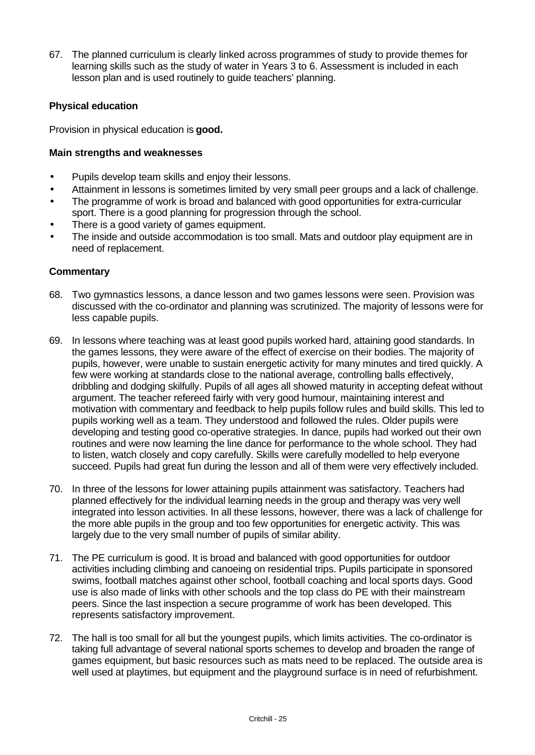67. The planned curriculum is clearly linked across programmes of study to provide themes for learning skills such as the study of water in Years 3 to 6. Assessment is included in each lesson plan and is used routinely to guide teachers' planning.

## **Physical education**

Provision in physical education is **good.**

## **Main strengths and weaknesses**

- Pupils develop team skills and enjoy their lessons.
- Attainment in lessons is sometimes limited by very small peer groups and a lack of challenge.
- The programme of work is broad and balanced with good opportunities for extra-curricular sport. There is a good planning for progression through the school.
- There is a good variety of games equipment.
- The inside and outside accommodation is too small. Mats and outdoor play equipment are in need of replacement.

- 68. Two gymnastics lessons, a dance lesson and two games lessons were seen. Provision was discussed with the co-ordinator and planning was scrutinized. The majority of lessons were for less capable pupils.
- 69. In lessons where teaching was at least good pupils worked hard, attaining good standards. In the games lessons, they were aware of the effect of exercise on their bodies. The majority of pupils, however, were unable to sustain energetic activity for many minutes and tired quickly. A few were working at standards close to the national average, controlling balls effectively, dribbling and dodging skilfully. Pupils of all ages all showed maturity in accepting defeat without argument. The teacher refereed fairly with very good humour, maintaining interest and motivation with commentary and feedback to help pupils follow rules and build skills. This led to pupils working well as a team. They understood and followed the rules. Older pupils were developing and testing good co-operative strategies. In dance, pupils had worked out their own routines and were now learning the line dance for performance to the whole school. They had to listen, watch closely and copy carefully. Skills were carefully modelled to help everyone succeed. Pupils had great fun during the lesson and all of them were very effectively included.
- 70. In three of the lessons for lower attaining pupils attainment was satisfactory. Teachers had planned effectively for the individual learning needs in the group and therapy was very well integrated into lesson activities. In all these lessons, however, there was a lack of challenge for the more able pupils in the group and too few opportunities for energetic activity. This was largely due to the very small number of pupils of similar ability.
- 71. The PE curriculum is good. It is broad and balanced with good opportunities for outdoor activities including climbing and canoeing on residential trips. Pupils participate in sponsored swims, football matches against other school, football coaching and local sports days. Good use is also made of links with other schools and the top class do PE with their mainstream peers. Since the last inspection a secure programme of work has been developed. This represents satisfactory improvement.
- 72. The hall is too small for all but the youngest pupils, which limits activities. The co-ordinator is taking full advantage of several national sports schemes to develop and broaden the range of games equipment, but basic resources such as mats need to be replaced. The outside area is well used at playtimes, but equipment and the playground surface is in need of refurbishment.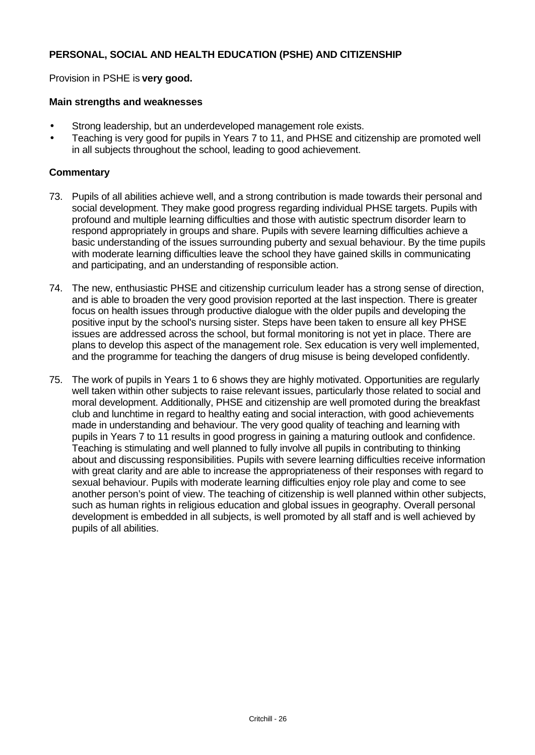## **PERSONAL, SOCIAL AND HEALTH EDUCATION (PSHE) AND CITIZENSHIP**

Provision in PSHE is **very good.**

#### **Main strengths and weaknesses**

- Strong leadership, but an underdeveloped management role exists.
- Teaching is very good for pupils in Years 7 to 11, and PHSE and citizenship are promoted well in all subjects throughout the school, leading to good achievement.

- 73. Pupils of all abilities achieve well, and a strong contribution is made towards their personal and social development. They make good progress regarding individual PHSE targets. Pupils with profound and multiple learning difficulties and those with autistic spectrum disorder learn to respond appropriately in groups and share. Pupils with severe learning difficulties achieve a basic understanding of the issues surrounding puberty and sexual behaviour. By the time pupils with moderate learning difficulties leave the school they have gained skills in communicating and participating, and an understanding of responsible action.
- 74. The new, enthusiastic PHSE and citizenship curriculum leader has a strong sense of direction, and is able to broaden the very good provision reported at the last inspection. There is greater focus on health issues through productive dialogue with the older pupils and developing the positive input by the school's nursing sister. Steps have been taken to ensure all key PHSE issues are addressed across the school, but formal monitoring is not yet in place. There are plans to develop this aspect of the management role. Sex education is very well implemented, and the programme for teaching the dangers of drug misuse is being developed confidently.
- 75. The work of pupils in Years 1 to 6 shows they are highly motivated. Opportunities are regularly well taken within other subjects to raise relevant issues, particularly those related to social and moral development. Additionally, PHSE and citizenship are well promoted during the breakfast club and lunchtime in regard to healthy eating and social interaction, with good achievements made in understanding and behaviour. The very good quality of teaching and learning with pupils in Years 7 to 11 results in good progress in gaining a maturing outlook and confidence. Teaching is stimulating and well planned to fully involve all pupils in contributing to thinking about and discussing responsibilities. Pupils with severe learning difficulties receive information with great clarity and are able to increase the appropriateness of their responses with regard to sexual behaviour. Pupils with moderate learning difficulties enjoy role play and come to see another person's point of view. The teaching of citizenship is well planned within other subjects, such as human rights in religious education and global issues in geography. Overall personal development is embedded in all subjects, is well promoted by all staff and is well achieved by pupils of all abilities.